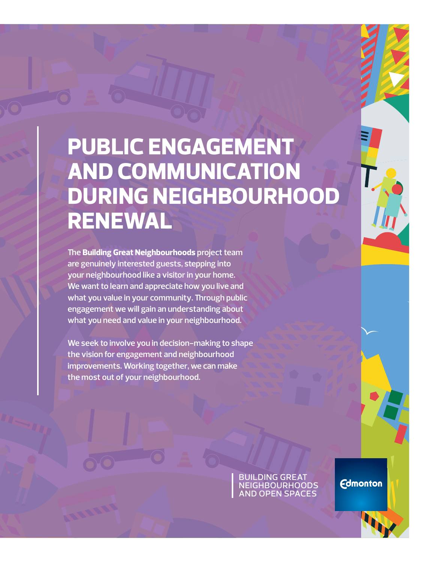# **PUBLIC ENGAGEMENT AND COMMUNICATION DURING NEIGHBOURHOOD RENEWAL**

**The Building Great Neighbourhoods project team are genuinely interested guests, stepping into your neighbourhood like a visitor in your home. We want to learn and appreciate how you live and what you value in your community. Through public engagement we will gain an understanding about what you need and value in your neighbourhood.** 

**We seek to involve you in decision-making to shape the vision for engagement and neighbourhood improvements. Working together, we can make the most out of your neighbourhood.**

> building great **NEIGHBOURHOODS** and open spaces

**Edmonton**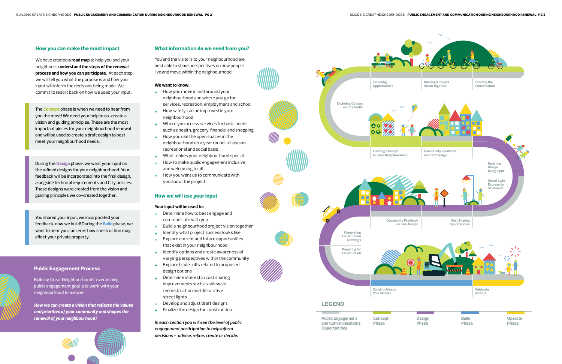

# **Public Engagement Process**

Building Great Neighbourhoods' overarching public engagement goal is to work with your neighbourhood to answer:

*How we can create a vision that reflects the values and priorities of your community and shapes the renewal of your neighbourhood?* 

The **Concept** phase is when we need to hear from you the most! We need your help to co-create a vision and guiding principles. These are the most important pieces for your neighbourhood renewal and will be used to create a draft design to best meet your neighbourhood needs.

During the **Design** phase, we want your input on the refined designs for your neighbourhood. Your feedback will be incorporated into the final design, alongside technical requirements and City policies. These designs were created from the vision and guiding principles we co-created together.

You shared your input, we incorporated your feedback, now we build! During the **Build** phase, we want to hear you concerns how construction may affect your private property.

## **How you can make the most impact**

We have created **a road map** to help you and your neighbours **understand the steps of the renewal process and how you can participate.** At each step we will tell you what the purpose is and how your input will inform the decisions being made. We commit to report back on how we used your input.

## **What information do we need from you?**

You and the visitors to your neighbourhood are best able to share perspectives on how people live and move within the neighbourhood.

#### **We want to know:**

- **+** How you move in and around your neighbourhood and where you go for services, recreation, employment and school
- **+** How safety can be improved in your neighbourhood
- **+** Where you access services for basic needs such as health, grocery, financial and shopping
- **+** How you use the open spaces in the neighbourhood on a year round, all season recreational and social basis
- **+** What makes your neighbourhood special
- **+** How to make public engagement inclusive and welcoming to all
- **+** How you want us to communicate with you about the project

### **How we will use your input**

#### **Your input will be used to:**

- **+** Determine how to best engage and communicate with you
- **+** Build a neighbourhood project vision together
- **+** Identify what project success looks like
- **+** Explore current and future opportunities that exist in your neighbourhood
- **+** Identify options and create awareness of varying perspectives within the community
- **+** Explore trade-offs related to proposed design options
- **+** Determine interest in cost sharing improvements such as sidewalk reconstruction and decorative street lights
- **+** Develop and adjust draft designs
- **+** Finalize the design for construction

*In each section you will see the level of public engagement participation to help inform decisions - advise, refine, create or decide.*